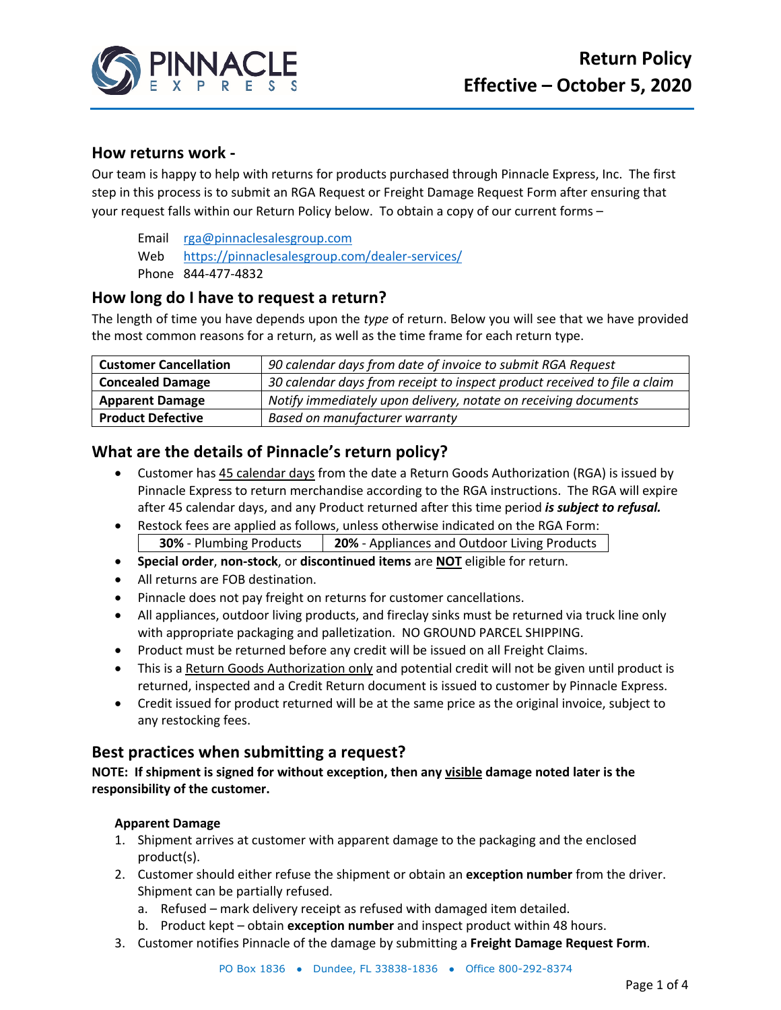

## **How returns work -**

Our team is happy to help with returns for products purchased through Pinnacle Express, Inc. The first step in this process is to submit an RGA Request or Freight Damage Request Form after ensuring that your request falls within our Return Policy below. To obtain a copy of our current forms –

Email rga@pinnaclesalesgroup.com Web https://pinnaclesalesgroup.com/dealer-services/ Phone 844-477-4832

# **How long do I have to request a return?**

The length of time you have depends upon the *type* of return. Below you will see that we have provided the most common reasons for a return, as well as the time frame for each return type.

| <b>Customer Cancellation</b> | 90 calendar days from date of invoice to submit RGA Request               |
|------------------------------|---------------------------------------------------------------------------|
| <b>Concealed Damage</b>      | 30 calendar days from receipt to inspect product received to file a claim |
| <b>Apparent Damage</b>       | Notify immediately upon delivery, notate on receiving documents           |
| <b>Product Defective</b>     | Based on manufacturer warranty                                            |

# **What are the details of Pinnacle's return policy?**

- Customer has 45 calendar days from the date a Return Goods Authorization (RGA) is issued by Pinnacle Express to return merchandise according to the RGA instructions. The RGA will expire after 45 calendar days, and any Product returned after this time period *is subject to refusal.*
- Restock fees are applied as follows, unless otherwise indicated on the RGA Form: **30%** - Plumbing Products **20%** - Appliances and Outdoor Living Products
- **Special order**, **non-stock**, or **discontinued items** are **NOT** eligible for return.
- All returns are FOB destination.
- Pinnacle does not pay freight on returns for customer cancellations.
- All appliances, outdoor living products, and fireclay sinks must be returned via truck line only with appropriate packaging and palletization. NO GROUND PARCEL SHIPPING.
- Product must be returned before any credit will be issued on all Freight Claims.
- This is a Return Goods Authorization only and potential credit will not be given until product is returned, inspected and a Credit Return document is issued to customer by Pinnacle Express.
- Credit issued for product returned will be at the same price as the original invoice, subject to any restocking fees.

# **Best practices when submitting a request?**

**NOTE: If shipment is signed for without exception, then any visible damage noted later is the responsibility of the customer.**

## **Apparent Damage**

- 1. Shipment arrives at customer with apparent damage to the packaging and the enclosed product(s).
- 2. Customer should either refuse the shipment or obtain an **exception number** from the driver. Shipment can be partially refused.
	- a. Refused mark delivery receipt as refused with damaged item detailed.
	- b. Product kept obtain **exception number** and inspect product within 48 hours.
- 3. Customer notifies Pinnacle of the damage by submitting a **Freight Damage Request Form**.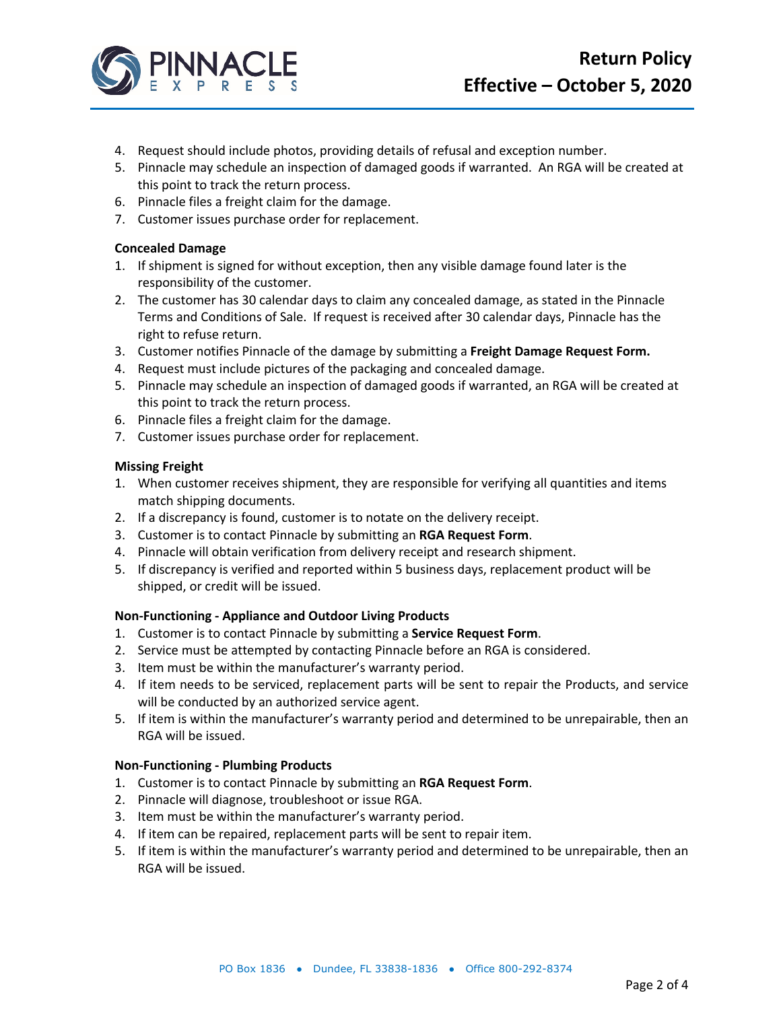

- 4. Request should include photos, providing details of refusal and exception number.
- 5. Pinnacle may schedule an inspection of damaged goods if warranted. An RGA will be created at this point to track the return process.
- 6. Pinnacle files a freight claim for the damage.
- 7. Customer issues purchase order for replacement.

### **Concealed Damage**

- 1. If shipment is signed for without exception, then any visible damage found later is the responsibility of the customer.
- 2. The customer has 30 calendar days to claim any concealed damage, as stated in the Pinnacle Terms and Conditions of Sale. If request is received after 30 calendar days, Pinnacle has the right to refuse return.
- 3. Customer notifies Pinnacle of the damage by submitting a **Freight Damage Request Form.**
- 4. Request must include pictures of the packaging and concealed damage.
- 5. Pinnacle may schedule an inspection of damaged goods if warranted, an RGA will be created at this point to track the return process.
- 6. Pinnacle files a freight claim for the damage.
- 7. Customer issues purchase order for replacement.

### **Missing Freight**

- 1. When customer receives shipment, they are responsible for verifying all quantities and items match shipping documents.
- 2. If a discrepancy is found, customer is to notate on the delivery receipt.
- 3. Customer is to contact Pinnacle by submitting an **RGA Request Form**.
- 4. Pinnacle will obtain verification from delivery receipt and research shipment.
- 5. If discrepancy is verified and reported within 5 business days, replacement product will be shipped, or credit will be issued.

### **Non-Functioning - Appliance and Outdoor Living Products**

- 1. Customer is to contact Pinnacle by submitting a **Service Request Form**.
- 2. Service must be attempted by contacting Pinnacle before an RGA is considered.
- 3. Item must be within the manufacturer's warranty period.
- 4. If item needs to be serviced, replacement parts will be sent to repair the Products, and service will be conducted by an authorized service agent.
- 5. If item is within the manufacturer's warranty period and determined to be unrepairable, then an RGA will be issued.

## **Non-Functioning - Plumbing Products**

- 1. Customer is to contact Pinnacle by submitting an **RGA Request Form**.
- 2. Pinnacle will diagnose, troubleshoot or issue RGA.
- 3. Item must be within the manufacturer's warranty period.
- 4. If item can be repaired, replacement parts will be sent to repair item.
- 5. If item is within the manufacturer's warranty period and determined to be unrepairable, then an RGA will be issued.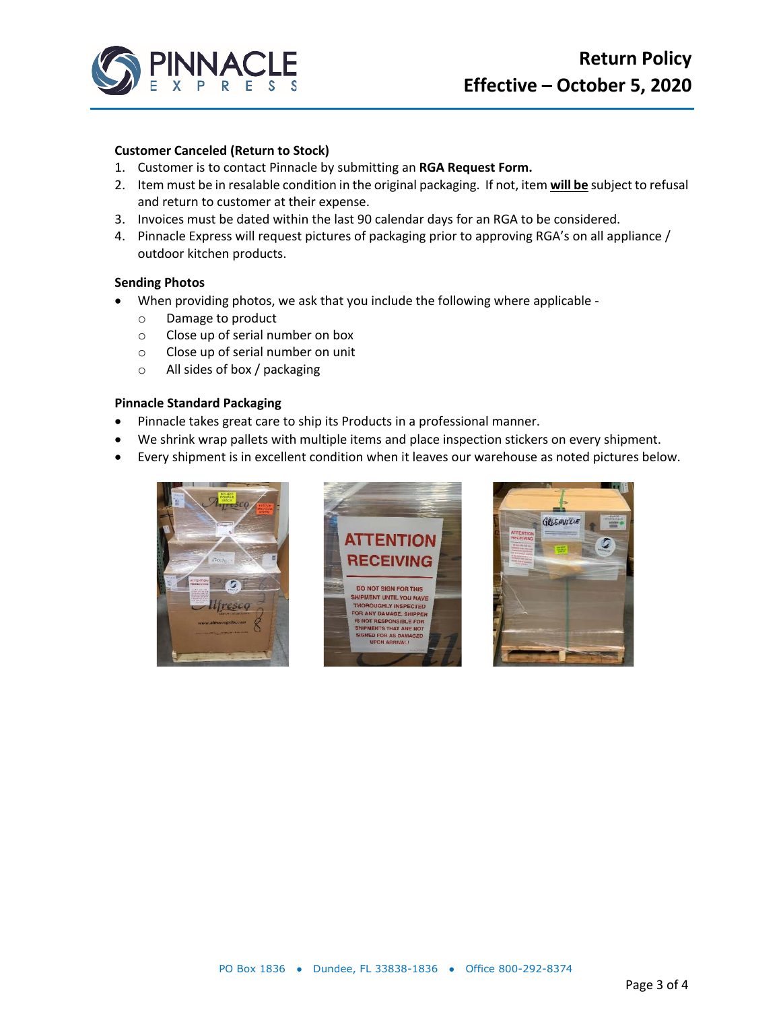

#### **Customer Canceled (Return to Stock)**

- 1. Customer is to contact Pinnacle by submitting an **RGA Request Form.**
- 2. Item must be in resalable condition in the original packaging. If not, item **will be** subject to refusal and return to customer at their expense.
- 3. Invoices must be dated within the last 90 calendar days for an RGA to be considered.
- 4. Pinnacle Express will request pictures of packaging prior to approving RGA's on all appliance / outdoor kitchen products.

#### **Sending Photos**

- When providing photos, we ask that you include the following where applicable
	- o Damage to product
	- o Close up of serial number on box
	- o Close up of serial number on unit
	- o All sides of box / packaging

#### **Pinnacle Standard Packaging**

- Pinnacle takes great care to ship its Products in a professional manner.
- We shrink wrap pallets with multiple items and place inspection stickers on every shipment.
- Every shipment is in excellent condition when it leaves our warehouse as noted pictures below.